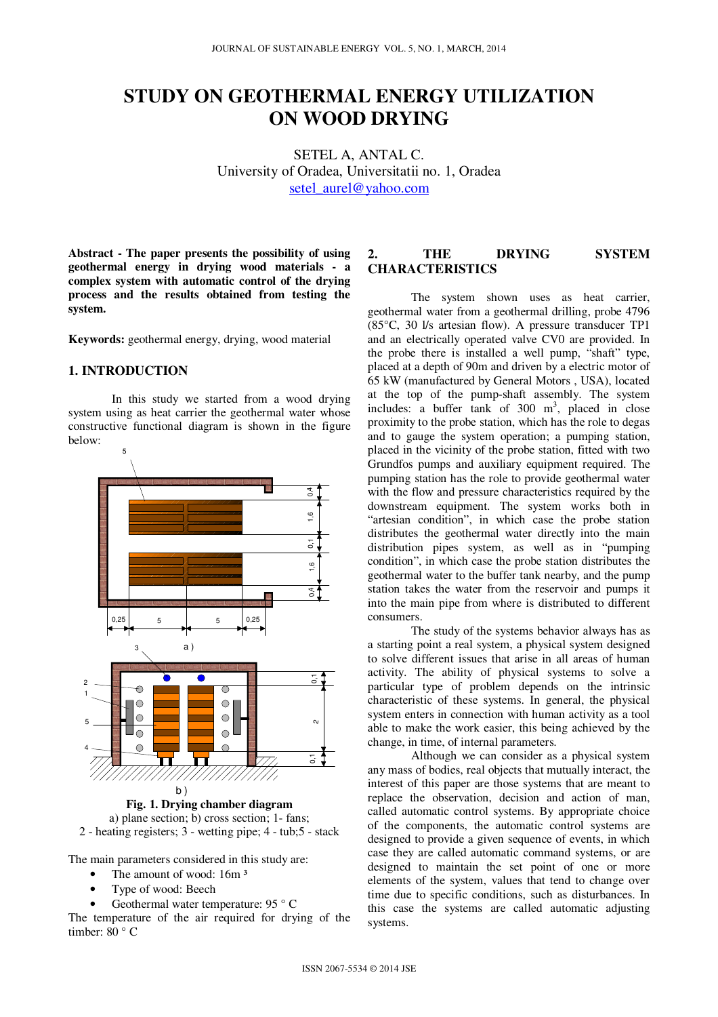# **STUDY ON GEOTHERMAL ENERGY UTILIZATION ON WOOD DRYING**

SETEL A, ANTAL C. University of Oradea, Universitatii no. 1, Oradea setel\_aurel@yahoo.com

**Abstract - The paper presents the possibility of using geothermal energy in drying wood materials - a complex system with automatic control of the drying process and the results obtained from testing the system.** 

**Keywords:** geothermal energy, drying, wood material

# **1. INTRODUCTION**

In this study we started from a wood drying system using as heat carrier the geothermal water whose constructive functional diagram is shown in the figure below:



a) plane section; b) cross section; 1- fans;



The main parameters considered in this study are:

- The amount of wood: 16m<sup>3</sup>
- Type of wood: Beech
- Geothermal water temperature: 95 °C

The temperature of the air required for drying of the timber: 80 ° C

## **2. THE DRYING SYSTEM CHARACTERISTICS**

The system shown uses as heat carrier, geothermal water from a geothermal drilling, probe 4796 (85°C, 30 l/s artesian flow). A pressure transducer TP1 and an electrically operated valve CV0 are provided. In the probe there is installed a well pump, "shaft" type, placed at a depth of 90m and driven by a electric motor of 65 kW (manufactured by General Motors , USA), located at the top of the pump-shaft assembly. The system includes: a buffer tank of  $300 \text{ m}^3$ , placed in close proximity to the probe station, which has the role to degas and to gauge the system operation; a pumping station, placed in the vicinity of the probe station, fitted with two Grundfos pumps and auxiliary equipment required. The pumping station has the role to provide geothermal water with the flow and pressure characteristics required by the downstream equipment. The system works both in "artesian condition", in which case the probe station distributes the geothermal water directly into the main distribution pipes system, as well as in "pumping condition", in which case the probe station distributes the geothermal water to the buffer tank nearby, and the pump station takes the water from the reservoir and pumps it into the main pipe from where is distributed to different consumers.

The study of the systems behavior always has as a starting point a real system, a physical system designed to solve different issues that arise in all areas of human activity. The ability of physical systems to solve a particular type of problem depends on the intrinsic characteristic of these systems. In general, the physical system enters in connection with human activity as a tool able to make the work easier, this being achieved by the change, in time, of internal parameters.

 Although we can consider as a physical system any mass of bodies, real objects that mutually interact, the interest of this paper are those systems that are meant to replace the observation, decision and action of man, called automatic control systems. By appropriate choice of the components, the automatic control systems are designed to provide a given sequence of events, in which case they are called automatic command systems, or are designed to maintain the set point of one or more elements of the system, values that tend to change over time due to specific conditions, such as disturbances. In this case the systems are called automatic adjusting systems.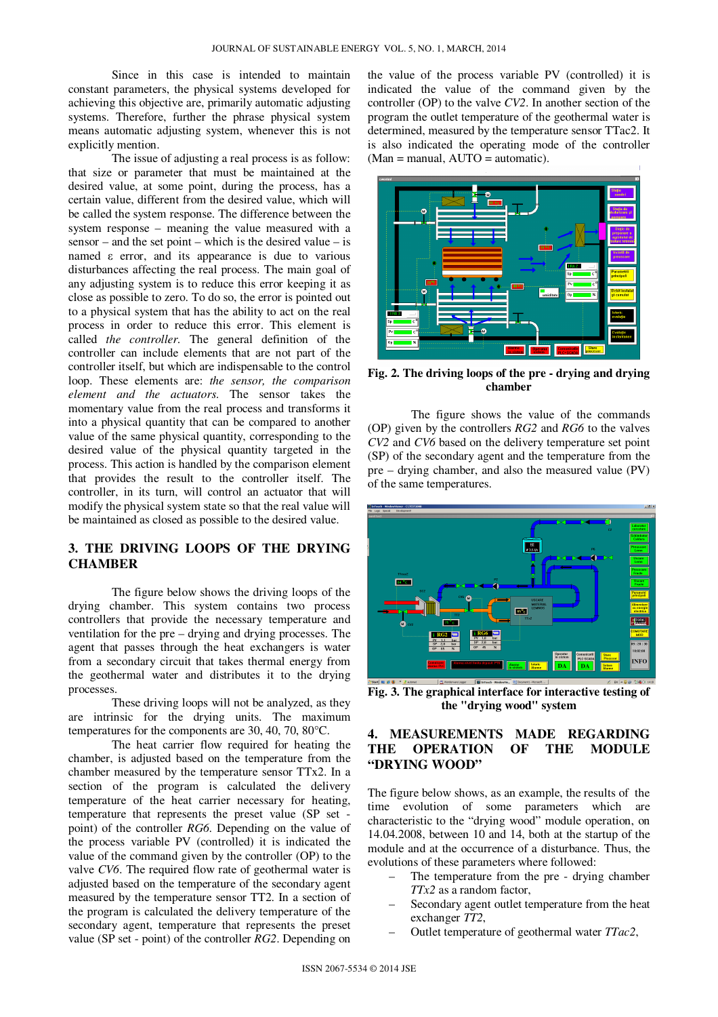Since in this case is intended to maintain constant parameters, the physical systems developed for achieving this objective are, primarily automatic adjusting systems. Therefore, further the phrase physical system means automatic adjusting system, whenever this is not explicitly mention.

 The issue of adjusting a real process is as follow: that size or parameter that must be maintained at the desired value, at some point, during the process, has a certain value, different from the desired value, which will be called the system response. The difference between the system response – meaning the value measured with a sensor – and the set point – which is the desired value – is named ε error, and its appearance is due to various disturbances affecting the real process. The main goal of any adjusting system is to reduce this error keeping it as close as possible to zero. To do so, the error is pointed out to a physical system that has the ability to act on the real process in order to reduce this error. This element is called *the controller.* The general definition of the controller can include elements that are not part of the controller itself, but which are indispensable to the control loop. These elements are: *the sensor, the comparison element and the actuators*. The sensor takes the momentary value from the real process and transforms it into a physical quantity that can be compared to another value of the same physical quantity, corresponding to the desired value of the physical quantity targeted in the process. This action is handled by the comparison element that provides the result to the controller itself. The controller, in its turn, will control an actuator that will modify the physical system state so that the real value will be maintained as closed as possible to the desired value.

# **3. THE DRIVING LOOPS OF THE DRYING CHAMBER**

The figure below shows the driving loops of the drying chamber. This system contains two process controllers that provide the necessary temperature and ventilation for the pre – drying and drying processes. The agent that passes through the heat exchangers is water from a secondary circuit that takes thermal energy from the geothermal water and distributes it to the drying processes.

These driving loops will not be analyzed, as they are intrinsic for the drying units. The maximum temperatures for the components are 30, 40, 70, 80°C.

The heat carrier flow required for heating the chamber, is adjusted based on the temperature from the chamber measured by the temperature sensor TTx2. In a section of the program is calculated the delivery temperature of the heat carrier necessary for heating, temperature that represents the preset value (SP set point) of the controller *RG6*. Depending on the value of the process variable PV (controlled) it is indicated the value of the command given by the controller (OP) to the valve *CV6*. The required flow rate of geothermal water is adjusted based on the temperature of the secondary agent measured by the temperature sensor TT2. In a section of the program is calculated the delivery temperature of the secondary agent, temperature that represents the preset value (SP set - point) of the controller *RG2*. Depending on

the value of the process variable PV (controlled) it is indicated the value of the command given by the controller (OP) to the valve *CV2*. In another section of the program the outlet temperature of the geothermal water is determined, measured by the temperature sensor TTac2. It is also indicated the operating mode of the controller  $(Man = manual, AUTO = automatic).$ 



**Fig. 2. The driving loops of the pre - drying and drying chamber** 

 The figure shows the value of the commands (OP) given by the controllers *RG2* and *RG6* to the valves *CV2* and *CV6* based on the delivery temperature set point (SP) of the secondary agent and the temperature from the pre – drying chamber, and also the measured value (PV) of the same temperatures.



**Fig. 3. The graphical interface for interactive testing of the "drying wood" system** 

## **4. MEASUREMENTS MADE REGARDING THE OPERATION OF THE MODULE "DRYING WOOD"**

The figure below shows, as an example, the results of the time evolution of some parameters which are characteristic to the "drying wood" module operation, on 14.04.2008, between 10 and 14, both at the startup of the module and at the occurrence of a disturbance. Thus, the evolutions of these parameters where followed:

- The temperature from the pre drying chamber *TTx2* as a random factor,
- Secondary agent outlet temperature from the heat exchanger *TT2*,
- Outlet temperature of geothermal water *TTac2*,